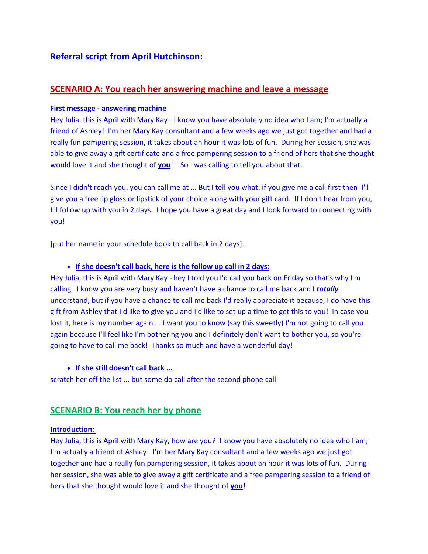# **Referral script from April Hutchinson:**

## **SCENARIO A: You reach her answering machine and leave a message**

#### **First message - answering machine**

Hey Julia, this is April with Mary Kay! I know you have absolutely no idea who I am; I'm actually a friend of Ashley! I'm her Mary Kay consultant and a few weeks ago we just got together and had a really fun pampering session, it takes about an hour it was lots of fun. During her session, she was able to give away a gift certificate and a free pampering session to a friend of hers that she thought would love it and she thought of **you**! So I was calling to tell you about that.

Since I didn't reach you, you can call me at ... But I tell you what: if you give me a call first then I'll give you a free lip gloss or lipstick of your choice along with your gift card. If I don't hear from you, I'll follow up with you in 2 days. I hope you have a great day and I look forward to connecting with you!

[put her name in your schedule book to call back in 2 days].

#### • **If she doesn't call back, here is the follow up call in 2 days:**

Hey Julia, this is April with Mary Kay - hey I told you I'd call you back on Friday so that's why I'm calling. I know you are very busy and haven't have a chance to call me back and I *totally* understand, but if you have a chance to call me back I'd really appreciate it because, I do have this gift from Ashley that I'd like to give you and I'd like to set up a time to get this to you! In case you lost it, here is my number again ... I want you to know (say this sweetly) I'm not going to call you again because I'll feel like I'm bothering you and I definitely don't want to bother you, so you're going to have to call me back! Thanks so much and have a wonderful day!

#### • **If she still doesn't call back ...**

scratch her off the list ... but some do call after the second phone call

## **SCENARIO B: You reach her by phone**

#### **Introduction**:

Hey Julia, this is April with Mary Kay, how are you? I know you have absolutely no idea who I am; I'm actually a friend of Ashley! I'm her Mary Kay consultant and a few weeks ago we just got together and had a really fun pampering session, it takes about an hour it was lots of fun. During her session, she was able to give away a gift certificate and a free pampering session to a friend of hers that she thought would love it and she thought of **you**!